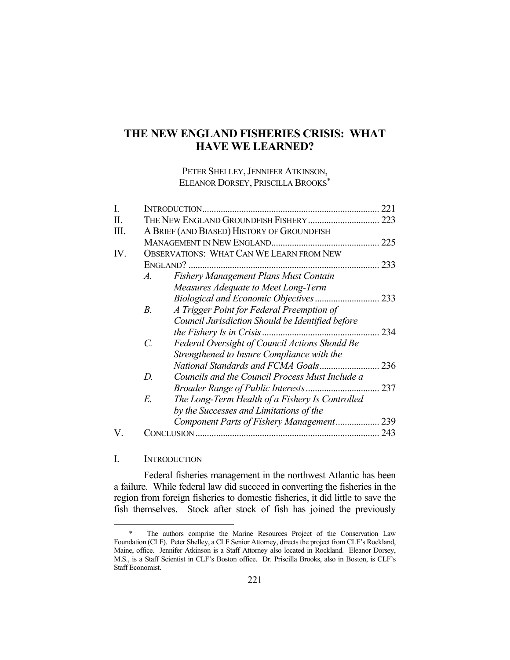# **THE NEW ENGLAND FISHERIES CRISIS: WHAT HAVE WE LEARNED?**

PETER SHELLEY, JENNIFER ATKINSON, ELEANOR DORSEY, PRISCILLA BROOKS\*

| I.  |                                                 | INTRODUCTION                                     | 221 |
|-----|-------------------------------------------------|--------------------------------------------------|-----|
| Π.  |                                                 | THE NEW ENGLAND GROUNDFISH FISHERY               |     |
| Ш.  | A BRIEF (AND BIASED) HISTORY OF GROUNDFISH      |                                                  |     |
|     |                                                 |                                                  |     |
| IV. | <b>OBSERVATIONS: WHAT CAN WE LEARN FROM NEW</b> |                                                  |     |
|     |                                                 |                                                  | 233 |
|     | Fishery Management Plans Must Contain<br>A.     |                                                  |     |
|     |                                                 | Measures Adequate to Meet Long-Term              |     |
|     |                                                 |                                                  | 233 |
|     | $B_{\cdot}$                                     | A Trigger Point for Federal Preemption of        |     |
|     |                                                 | Council Jurisdiction Should be Identified before |     |
|     |                                                 |                                                  | 234 |
|     | $\mathcal{C}$                                   | Federal Oversight of Council Actions Should Be   |     |
|     |                                                 | Strengthened to Insure Compliance with the       |     |
|     |                                                 |                                                  |     |
|     | D.                                              | Councils and the Council Process Must Include a  |     |
|     |                                                 | Broader Range of Public Interests                | 237 |
|     | E.                                              | The Long-Term Health of a Fishery Is Controlled  |     |
|     |                                                 | by the Successes and Limitations of the          |     |
|     |                                                 | Component Parts of Fishery Management 239        |     |
|     | CONCLUSION .                                    |                                                  | 243 |

### I. INTRODUCTION

1

 Federal fisheries management in the northwest Atlantic has been a failure. While federal law did succeed in converting the fisheries in the region from foreign fisheries to domestic fisheries, it did little to save the fish themselves. Stock after stock of fish has joined the previously

 <sup>\*</sup> The authors comprise the Marine Resources Project of the Conservation Law Foundation (CLF). Peter Shelley, a CLF Senior Attorney, directs the project from CLF's Rockland, Maine, office. Jennifer Atkinson is a Staff Attorney also located in Rockland. Eleanor Dorsey, M.S., is a Staff Scientist in CLF's Boston office. Dr. Priscilla Brooks, also in Boston, is CLF's Staff Economist.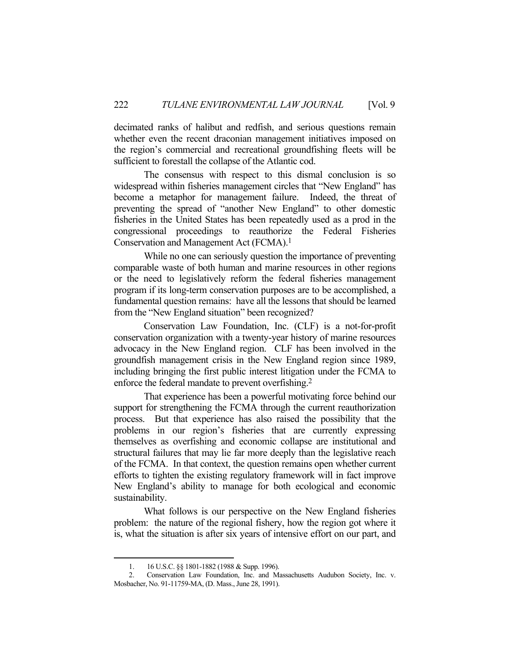decimated ranks of halibut and redfish, and serious questions remain whether even the recent draconian management initiatives imposed on the region's commercial and recreational groundfishing fleets will be sufficient to forestall the collapse of the Atlantic cod.

 The consensus with respect to this dismal conclusion is so widespread within fisheries management circles that "New England" has become a metaphor for management failure. Indeed, the threat of preventing the spread of "another New England" to other domestic fisheries in the United States has been repeatedly used as a prod in the congressional proceedings to reauthorize the Federal Fisheries Conservation and Management Act (FCMA).1

 While no one can seriously question the importance of preventing comparable waste of both human and marine resources in other regions or the need to legislatively reform the federal fisheries management program if its long-term conservation purposes are to be accomplished, a fundamental question remains: have all the lessons that should be learned from the "New England situation" been recognized?

 Conservation Law Foundation, Inc. (CLF) is a not-for-profit conservation organization with a twenty-year history of marine resources advocacy in the New England region. CLF has been involved in the groundfish management crisis in the New England region since 1989, including bringing the first public interest litigation under the FCMA to enforce the federal mandate to prevent overfishing.2

 That experience has been a powerful motivating force behind our support for strengthening the FCMA through the current reauthorization process. But that experience has also raised the possibility that the problems in our region's fisheries that are currently expressing themselves as overfishing and economic collapse are institutional and structural failures that may lie far more deeply than the legislative reach of the FCMA. In that context, the question remains open whether current efforts to tighten the existing regulatory framework will in fact improve New England's ability to manage for both ecological and economic sustainability.

 What follows is our perspective on the New England fisheries problem: the nature of the regional fishery, how the region got where it is, what the situation is after six years of intensive effort on our part, and

<sup>1. 16</sup> U.S.C. §§ 1801-1882 (1988 & Supp. 1996).<br>2. Conservation Law Foundation Inc. and M.

 <sup>2.</sup> Conservation Law Foundation, Inc. and Massachusetts Audubon Society, Inc. v. Mosbacher, No. 91-11759-MA, (D. Mass., June 28, 1991).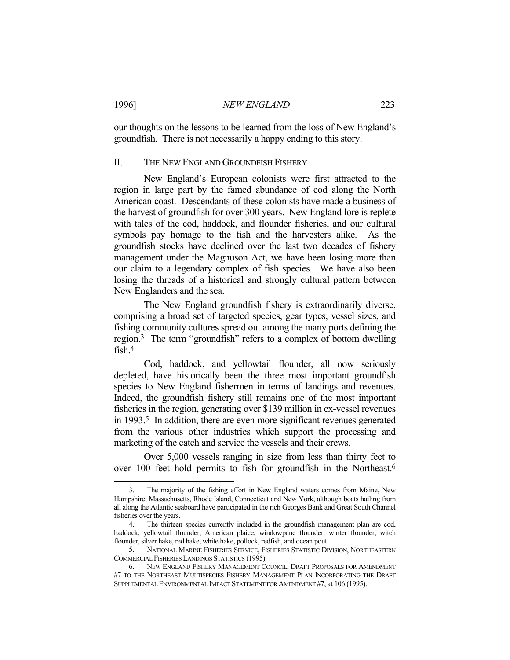our thoughts on the lessons to be learned from the loss of New England's groundfish. There is not necessarily a happy ending to this story.

#### II. THE NEW ENGLAND GROUNDFISH FISHERY

 New England's European colonists were first attracted to the region in large part by the famed abundance of cod along the North American coast. Descendants of these colonists have made a business of the harvest of groundfish for over 300 years. New England lore is replete with tales of the cod, haddock, and flounder fisheries, and our cultural symbols pay homage to the fish and the harvesters alike. As the groundfish stocks have declined over the last two decades of fishery management under the Magnuson Act, we have been losing more than our claim to a legendary complex of fish species. We have also been losing the threads of a historical and strongly cultural pattern between New Englanders and the sea.

 The New England groundfish fishery is extraordinarily diverse, comprising a broad set of targeted species, gear types, vessel sizes, and fishing community cultures spread out among the many ports defining the region.3 The term "groundfish" refers to a complex of bottom dwelling fish.4

 Cod, haddock, and yellowtail flounder, all now seriously depleted, have historically been the three most important groundfish species to New England fishermen in terms of landings and revenues. Indeed, the groundfish fishery still remains one of the most important fisheries in the region, generating over \$139 million in ex-vessel revenues in 1993.5 In addition, there are even more significant revenues generated from the various other industries which support the processing and marketing of the catch and service the vessels and their crews.

 Over 5,000 vessels ranging in size from less than thirty feet to over 100 feet hold permits to fish for groundfish in the Northeast.6

The majority of the fishing effort in New England waters comes from Maine, New Hampshire, Massachusetts, Rhode Island, Connecticut and New York, although boats hailing from all along the Atlantic seaboard have participated in the rich Georges Bank and Great South Channel fisheries over the years.

 <sup>4.</sup> The thirteen species currently included in the groundfish management plan are cod, haddock, yellowtail flounder, American plaice, windowpane flounder, winter flounder, witch flounder, silver hake, red hake, white hake, pollock, redfish, and ocean pout.

 <sup>5.</sup> NATIONAL MARINE FISHERIES SERVICE, FISHERIES STATISTIC DIVISION, NORTHEASTERN COMMERCIAL FISHERIES LANDINGS STATISTICS (1995).

 <sup>6.</sup> NEW ENGLAND FISHERY MANAGEMENT COUNCIL, DRAFT PROPOSALS FOR AMENDMENT #7 TO THE NORTHEAST MULTISPECIES FISHERY MANAGEMENT PLAN INCORPORATING THE DRAFT SUPPLEMENTAL ENVIRONMENTAL IMPACT STATEMENT FOR AMENDMENT #7, at 106 (1995).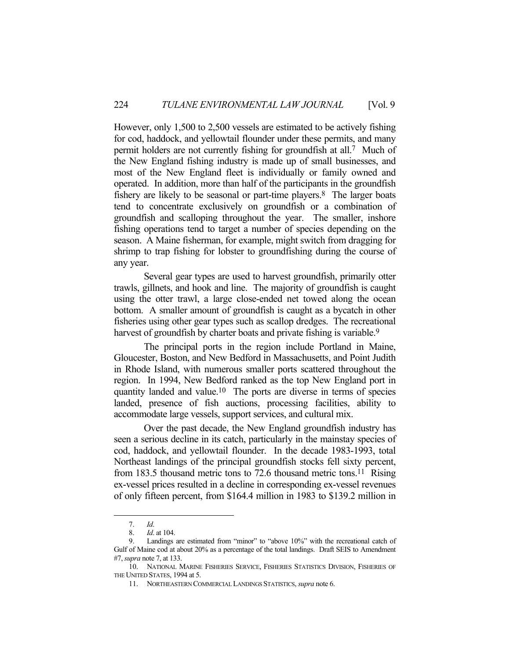However, only 1,500 to 2,500 vessels are estimated to be actively fishing for cod, haddock, and yellowtail flounder under these permits, and many permit holders are not currently fishing for groundfish at all.7 Much of the New England fishing industry is made up of small businesses, and most of the New England fleet is individually or family owned and operated. In addition, more than half of the participants in the groundfish fishery are likely to be seasonal or part-time players. $8$  The larger boats tend to concentrate exclusively on groundfish or a combination of groundfish and scalloping throughout the year. The smaller, inshore fishing operations tend to target a number of species depending on the season. A Maine fisherman, for example, might switch from dragging for shrimp to trap fishing for lobster to groundfishing during the course of any year.

 Several gear types are used to harvest groundfish, primarily otter trawls, gillnets, and hook and line. The majority of groundfish is caught using the otter trawl, a large close-ended net towed along the ocean bottom. A smaller amount of groundfish is caught as a bycatch in other fisheries using other gear types such as scallop dredges. The recreational harvest of groundfish by charter boats and private fishing is variable.<sup>9</sup>

 The principal ports in the region include Portland in Maine, Gloucester, Boston, and New Bedford in Massachusetts, and Point Judith in Rhode Island, with numerous smaller ports scattered throughout the region. In 1994, New Bedford ranked as the top New England port in quantity landed and value.10 The ports are diverse in terms of species landed, presence of fish auctions, processing facilities, ability to accommodate large vessels, support services, and cultural mix.

 Over the past decade, the New England groundfish industry has seen a serious decline in its catch, particularly in the mainstay species of cod, haddock, and yellowtail flounder. In the decade 1983-1993, total Northeast landings of the principal groundfish stocks fell sixty percent, from 183.5 thousand metric tons to 72.6 thousand metric tons.<sup>11</sup> Rising ex-vessel prices resulted in a decline in corresponding ex-vessel revenues of only fifteen percent, from \$164.4 million in 1983 to \$139.2 million in

 <sup>7.</sup> *Id*.

 <sup>8.</sup> *Id*. at 104.

Landings are estimated from "minor" to "above 10%" with the recreational catch of Gulf of Maine cod at about 20% as a percentage of the total landings. Draft SEIS to Amendment #7, *supra* note 7, at 133.

 <sup>10.</sup> NATIONAL MARINE FISHERIES SERVICE, FISHERIES STATISTICS DIVISION, FISHERIES OF THE UNITED STATES, 1994 at 5.

 <sup>11.</sup> NORTHEASTERN COMMERCIAL LANDINGS STATISTICS, *supra* note 6.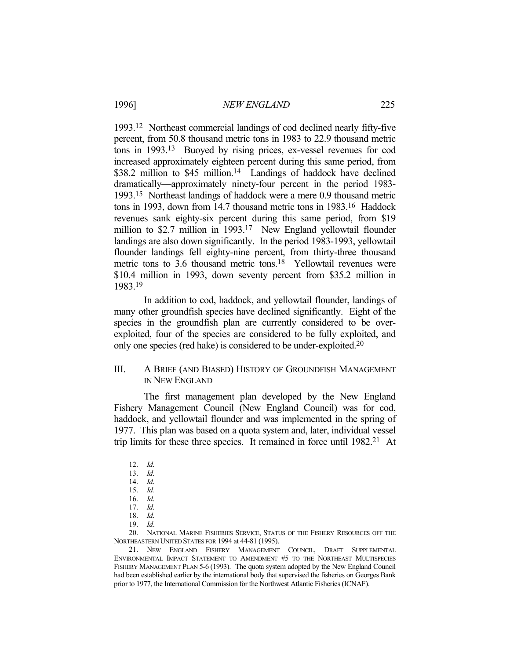1993.12 Northeast commercial landings of cod declined nearly fifty-five percent, from 50.8 thousand metric tons in 1983 to 22.9 thousand metric tons in 1993.13 Buoyed by rising prices, ex-vessel revenues for cod increased approximately eighteen percent during this same period, from \$38.2 million to \$45 million.<sup>14</sup> Landings of haddock have declined dramatically—approximately ninety-four percent in the period 1983- 1993.15 Northeast landings of haddock were a mere 0.9 thousand metric tons in 1993, down from 14.7 thousand metric tons in 1983.16 Haddock revenues sank eighty-six percent during this same period, from \$19 million to \$2.7 million in 1993.<sup>17</sup> New England yellowtail flounder landings are also down significantly. In the period 1983-1993, yellowtail flounder landings fell eighty-nine percent, from thirty-three thousand metric tons to 3.6 thousand metric tons.<sup>18</sup> Yellowtail revenues were \$10.4 million in 1993, down seventy percent from \$35.2 million in 1983.19

 In addition to cod, haddock, and yellowtail flounder, landings of many other groundfish species have declined significantly. Eight of the species in the groundfish plan are currently considered to be overexploited, four of the species are considered to be fully exploited, and only one species (red hake) is considered to be under-exploited. 20

#### III. A BRIEF (AND BIASED) HISTORY OF GROUNDFISH MANAGEMENT IN NEW ENGLAND

 The first management plan developed by the New England Fishery Management Council (New England Council) was for cod, haddock, and yellowtail flounder and was implemented in the spring of 1977. This plan was based on a quota system and, later, individual vessel trip limits for these three species. It remained in force until 1982.21 At

1

 20. NATIONAL MARINE FISHERIES SERVICE, STATUS OF THE FISHERY RESOURCES OFF THE NORTHEASTERN UNITED STATES FOR 1994 at 44-81 (1995).

 <sup>12.</sup> *Id*.

 <sup>13.</sup> *Id*.

 <sup>14.</sup> *Id*.

 <sup>15.</sup> *Id.*

 <sup>16.</sup> *Id*.

 <sup>17.</sup> *Id*.

 <sup>18.</sup> *Id*.

 <sup>19.</sup> *Id*.

 <sup>21.</sup> NEW ENGLAND FISHERY MANAGEMENT COUNCIL, DRAFT SUPPLEMENTAL ENVIRONMENTAL IMPACT STATEMENT TO AMENDMENT #5 TO THE NORTHEAST MULTISPECIES FISHERY MANAGEMENT PLAN 5-6 (1993). The quota system adopted by the New England Council had been established earlier by the international body that supervised the fisheries on Georges Bank prior to 1977, the International Commission for the Northwest Atlantic Fisheries (ICNAF).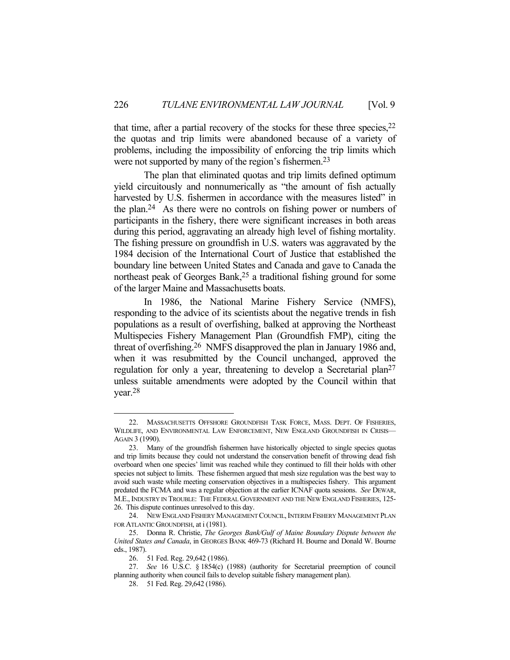that time, after a partial recovery of the stocks for these three species,  $2^2$ the quotas and trip limits were abandoned because of a variety of problems, including the impossibility of enforcing the trip limits which were not supported by many of the region's fishermen.<sup>23</sup>

 The plan that eliminated quotas and trip limits defined optimum yield circuitously and nonnumerically as "the amount of fish actually harvested by U.S. fishermen in accordance with the measures listed" in the plan.24 As there were no controls on fishing power or numbers of participants in the fishery, there were significant increases in both areas during this period, aggravating an already high level of fishing mortality. The fishing pressure on groundfish in U.S. waters was aggravated by the 1984 decision of the International Court of Justice that established the boundary line between United States and Canada and gave to Canada the northeast peak of Georges Bank,<sup>25</sup> a traditional fishing ground for some of the larger Maine and Massachusetts boats.

In 1986, the National Marine Fishery Service (NMFS), responding to the advice of its scientists about the negative trends in fish populations as a result of overfishing, balked at approving the Northeast Multispecies Fishery Management Plan (Groundfish FMP), citing the threat of overfishing.26 NMFS disapproved the plan in January 1986 and, when it was resubmitted by the Council unchanged, approved the regulation for only a year, threatening to develop a Secretarial plan<sup>27</sup> unless suitable amendments were adopted by the Council within that year.28

 <sup>22.</sup> MASSACHUSETTS OFFSHORE GROUNDFISH TASK FORCE, MASS. DEPT. OF FISHERIES, WILDLIFE, AND ENVIRONMENTAL LAW ENFORCEMENT, NEW ENGLAND GROUNDFISH IN CRISIS-AGAIN 3 (1990).

 <sup>23.</sup> Many of the groundfish fishermen have historically objected to single species quotas and trip limits because they could not understand the conservation benefit of throwing dead fish overboard when one species' limit was reached while they continued to fill their holds with other species not subject to limits. These fishermen argued that mesh size regulation was the best way to avoid such waste while meeting conservation objectives in a multispecies fishery. This argument predated the FCMA and was a regular objection at the earlier ICNAF quota sessions. *See* DEWAR, M.E., INDUSTRY IN TROUBLE: THE FEDERAL GOVERNMENT AND THE NEW ENGLAND FISHERIES, 125- 26. This dispute continues unresolved to this day.

<sup>24.</sup> NEW ENGLAND FISHERY MANAGEMENT COUNCIL, INTERIM FISHERY MANAGEMENT PLAN FOR ATLANTIC GROUNDFISH, at i (1981).

 <sup>25.</sup> Donna R. Christie, *The Georges Bank/Gulf of Maine Boundary Dispute between the United States and Canada*, in GEORGES BANK 469-73 (Richard H. Bourne and Donald W. Bourne eds., 1987).

 <sup>26. 51</sup> Fed. Reg. 29,642 (1986).

 <sup>27.</sup> *See* 16 U.S.C. § 1854(c) (1988) (authority for Secretarial preemption of council planning authority when council fails to develop suitable fishery management plan).

 <sup>28. 51</sup> Fed. Reg. 29,642 (1986).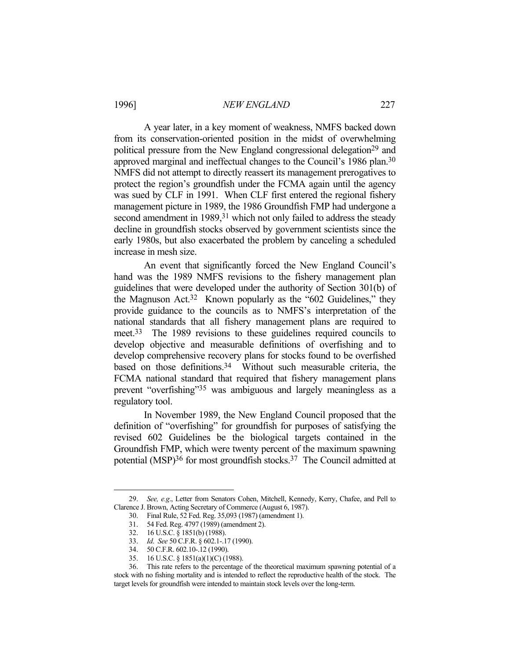A year later, in a key moment of weakness, NMFS backed down from its conservation-oriented position in the midst of overwhelming political pressure from the New England congressional delegation<sup>29</sup> and approved marginal and ineffectual changes to the Council's 1986 plan.30 NMFS did not attempt to directly reassert its management prerogatives to protect the region's groundfish under the FCMA again until the agency was sued by CLF in 1991. When CLF first entered the regional fishery management picture in 1989, the 1986 Groundfish FMP had undergone a second amendment in 1989,<sup>31</sup> which not only failed to address the steady decline in groundfish stocks observed by government scientists since the early 1980s, but also exacerbated the problem by canceling a scheduled increase in mesh size.

 An event that significantly forced the New England Council's hand was the 1989 NMFS revisions to the fishery management plan guidelines that were developed under the authority of Section 301(b) of the Magnuson Act.32 Known popularly as the "602 Guidelines," they provide guidance to the councils as to NMFS's interpretation of the national standards that all fishery management plans are required to meet.33 The 1989 revisions to these guidelines required councils to develop objective and measurable definitions of overfishing and to develop comprehensive recovery plans for stocks found to be overfished based on those definitions.<sup>34</sup> Without such measurable criteria, the FCMA national standard that required that fishery management plans prevent "overfishing"35 was ambiguous and largely meaningless as a regulatory tool.

 In November 1989, the New England Council proposed that the definition of "overfishing" for groundfish for purposes of satisfying the revised 602 Guidelines be the biological targets contained in the Groundfish FMP, which were twenty percent of the maximum spawning potential (MSP)36 for most groundfish stocks.37 The Council admitted at

 <sup>29.</sup> *See, e.g*., Letter from Senators Cohen, Mitchell, Kennedy, Kerry, Chafee, and Pell to Clarence J. Brown, Acting Secretary of Commerce (August 6, 1987).

 <sup>30.</sup> Final Rule, 52 Fed. Reg. 35,093 (1987) (amendment 1).

 <sup>31. 54</sup> Fed. Reg. 4797 (1989) (amendment 2).

 <sup>32. 16</sup> U.S.C. § 1851(b) (1988).

 <sup>33.</sup> *Id*. *See* 50 C.F.R. § 602.1-.17 (1990).

 <sup>34. 50</sup> C.F.R. 602.10-.12 (1990).

 <sup>35. 16</sup> U.S.C. § 1851(a)(1)(C) (1988).

 <sup>36.</sup> This rate refers to the percentage of the theoretical maximum spawning potential of a stock with no fishing mortality and is intended to reflect the reproductive health of the stock. The target levels for groundfish were intended to maintain stock levels over the long-term.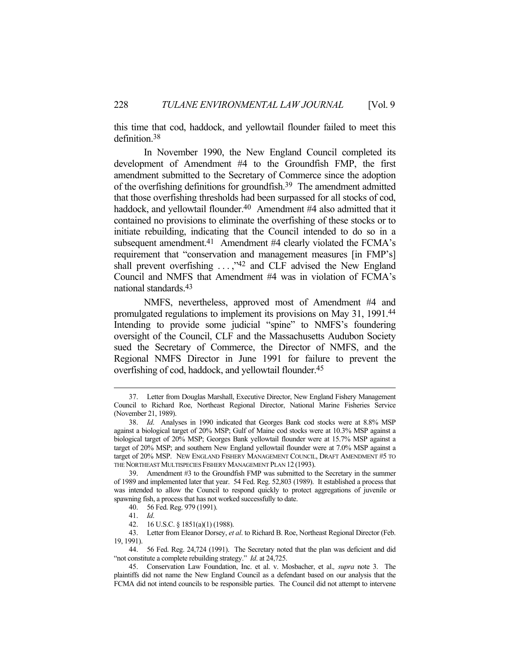this time that cod, haddock, and yellowtail flounder failed to meet this definition.38

 In November 1990, the New England Council completed its development of Amendment #4 to the Groundfish FMP, the first amendment submitted to the Secretary of Commerce since the adoption of the overfishing definitions for groundfish.39 The amendment admitted that those overfishing thresholds had been surpassed for all stocks of cod, haddock, and yellowtail flounder.<sup>40</sup> Amendment #4 also admitted that it contained no provisions to eliminate the overfishing of these stocks or to initiate rebuilding, indicating that the Council intended to do so in a subsequent amendment.<sup>41</sup> Amendment #4 clearly violated the FCMA's requirement that "conservation and management measures [in FMP's] shall prevent overfishing . . . ,"42 and CLF advised the New England Council and NMFS that Amendment #4 was in violation of FCMA's national standards.43

 NMFS, nevertheless, approved most of Amendment #4 and promulgated regulations to implement its provisions on May 31, 1991.44 Intending to provide some judicial "spine" to NMFS's foundering oversight of the Council, CLF and the Massachusetts Audubon Society sued the Secretary of Commerce, the Director of NMFS, and the Regional NMFS Director in June 1991 for failure to prevent the overfishing of cod, haddock, and yellowtail flounder.45

 <sup>37.</sup> Letter from Douglas Marshall, Executive Director, New England Fishery Management Council to Richard Roe, Northeast Regional Director, National Marine Fisheries Service (November 21, 1989).

 <sup>38.</sup> *Id*. Analyses in 1990 indicated that Georges Bank cod stocks were at 8.8% MSP against a biological target of 20% MSP; Gulf of Maine cod stocks were at 10.3% MSP against a biological target of 20% MSP; Georges Bank yellowtail flounder were at 15.7% MSP against a target of 20% MSP; and southern New England yellowtail flounder were at 7.0% MSP against a target of 20% MSP. NEW ENGLAND FISHERY MANAGEMENT COUNCIL, DRAFT AMENDMENT #5 TO THE NORTHEAST MULTISPECIES FISHERY MANAGEMENT PLAN 12 (1993).

 <sup>39.</sup> Amendment #3 to the Groundfish FMP was submitted to the Secretary in the summer of 1989 and implemented later that year. 54 Fed. Reg. 52,803 (1989). It established a process that was intended to allow the Council to respond quickly to protect aggregations of juvenile or spawning fish, a process that has not worked successfully to date.

 <sup>40. 56</sup> Fed. Reg. 979 (1991).

 <sup>41.</sup> *Id*.

 <sup>42. 16</sup> U.S.C. § 1851(a)(1) (1988).

 <sup>43.</sup> Letter from Eleanor Dorsey, *et al*. to Richard B. Roe, Northeast Regional Director (Feb. 19, 1991).

 <sup>44. 56</sup> Fed. Reg. 24,724 (1991). The Secretary noted that the plan was deficient and did "not constitute a complete rebuilding strategy." *Id*. at 24,725.

 <sup>45.</sup> Conservation Law Foundation, Inc. et al. v. Mosbacher, et al.*, supra* note 3. The plaintiffs did not name the New England Council as a defendant based on our analysis that the FCMA did not intend councils to be responsible parties. The Council did not attempt to intervene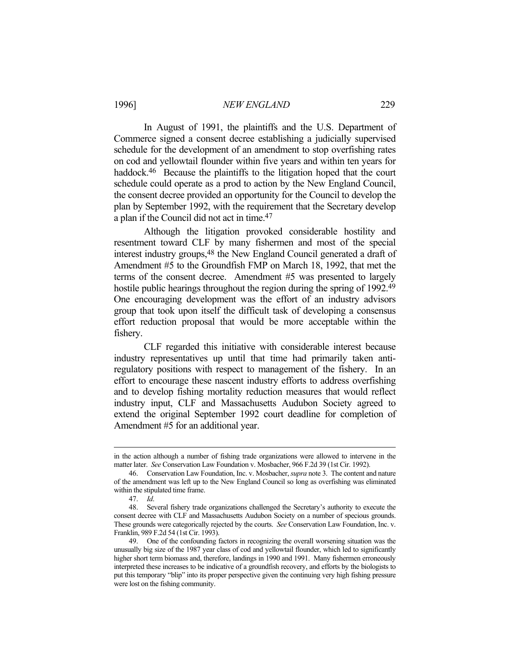In August of 1991, the plaintiffs and the U.S. Department of Commerce signed a consent decree establishing a judicially supervised schedule for the development of an amendment to stop overfishing rates on cod and yellowtail flounder within five years and within ten years for haddock.<sup>46</sup> Because the plaintiffs to the litigation hoped that the court schedule could operate as a prod to action by the New England Council, the consent decree provided an opportunity for the Council to develop the plan by September 1992, with the requirement that the Secretary develop a plan if the Council did not act in time.47

 Although the litigation provoked considerable hostility and resentment toward CLF by many fishermen and most of the special interest industry groups,48 the New England Council generated a draft of Amendment #5 to the Groundfish FMP on March 18, 1992, that met the terms of the consent decree. Amendment #5 was presented to largely hostile public hearings throughout the region during the spring of 1992.<sup>49</sup> One encouraging development was the effort of an industry advisors group that took upon itself the difficult task of developing a consensus effort reduction proposal that would be more acceptable within the fishery.

 CLF regarded this initiative with considerable interest because industry representatives up until that time had primarily taken antiregulatory positions with respect to management of the fishery. In an effort to encourage these nascent industry efforts to address overfishing and to develop fishing mortality reduction measures that would reflect industry input, CLF and Massachusetts Audubon Society agreed to extend the original September 1992 court deadline for completion of Amendment #5 for an additional year.

in the action although a number of fishing trade organizations were allowed to intervene in the matter later. *See* Conservation Law Foundation v. Mosbacher, 966 F.2d 39 (1st Cir. 1992).

 <sup>46.</sup> Conservation Law Foundation, Inc. v. Mosbacher, *supra* note 3. The content and nature of the amendment was left up to the New England Council so long as overfishing was eliminated within the stipulated time frame.

 <sup>47.</sup> *Id*.

 <sup>48.</sup> Several fishery trade organizations challenged the Secretary's authority to execute the consent decree with CLF and Massachusetts Audubon Society on a number of specious grounds. These grounds were categorically rejected by the courts. *See* Conservation Law Foundation, Inc. v. Franklin, 989 F.2d 54 (1st Cir. 1993).

 <sup>49.</sup> One of the confounding factors in recognizing the overall worsening situation was the unusually big size of the 1987 year class of cod and yellowtail flounder, which led to significantly higher short term biomass and, therefore, landings in 1990 and 1991. Many fishermen erroneously interpreted these increases to be indicative of a groundfish recovery, and efforts by the biologists to put this temporary "blip" into its proper perspective given the continuing very high fishing pressure were lost on the fishing community.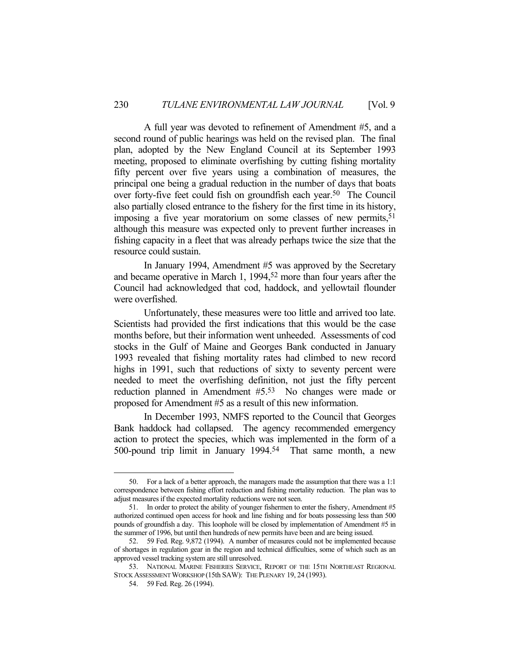A full year was devoted to refinement of Amendment #5, and a second round of public hearings was held on the revised plan. The final plan, adopted by the New England Council at its September 1993 meeting, proposed to eliminate overfishing by cutting fishing mortality fifty percent over five years using a combination of measures, the principal one being a gradual reduction in the number of days that boats over forty-five feet could fish on groundfish each year.<sup>50</sup> The Council also partially closed entrance to the fishery for the first time in its history, imposing a five year moratorium on some classes of new permits,  $51$ although this measure was expected only to prevent further increases in fishing capacity in a fleet that was already perhaps twice the size that the resource could sustain.

 In January 1994, Amendment #5 was approved by the Secretary and became operative in March 1, 1994,52 more than four years after the Council had acknowledged that cod, haddock, and yellowtail flounder were overfished.

 Unfortunately, these measures were too little and arrived too late. Scientists had provided the first indications that this would be the case months before, but their information went unheeded. Assessments of cod stocks in the Gulf of Maine and Georges Bank conducted in January 1993 revealed that fishing mortality rates had climbed to new record highs in 1991, such that reductions of sixty to seventy percent were needed to meet the overfishing definition, not just the fifty percent reduction planned in Amendment #5.53 No changes were made or proposed for Amendment #5 as a result of this new information.

 In December 1993, NMFS reported to the Council that Georges Bank haddock had collapsed. The agency recommended emergency action to protect the species, which was implemented in the form of a 500-pound trip limit in January 1994.54 That same month, a new

 <sup>50.</sup> For a lack of a better approach, the managers made the assumption that there was a 1:1 correspondence between fishing effort reduction and fishing mortality reduction. The plan was to adjust measures if the expected mortality reductions were not seen.

 <sup>51.</sup> In order to protect the ability of younger fishermen to enter the fishery, Amendment #5 authorized continued open access for hook and line fishing and for boats possessing less than 500 pounds of groundfish a day. This loophole will be closed by implementation of Amendment #5 in the summer of 1996, but until then hundreds of new permits have been and are being issued.

 <sup>52. 59</sup> Fed. Reg. 9,872 (1994). A number of measures could not be implemented because of shortages in regulation gear in the region and technical difficulties, some of which such as an approved vessel tracking system are still unresolved.

 <sup>53.</sup> NATIONAL MARINE FISHERIES SERVICE, REPORT OF THE 15TH NORTHEAST REGIONAL STOCK ASSESSMENT WORKSHOP (15th SAW): THE PLENARY 19, 24 (1993).

 <sup>54. 59</sup> Fed. Reg. 26 (1994).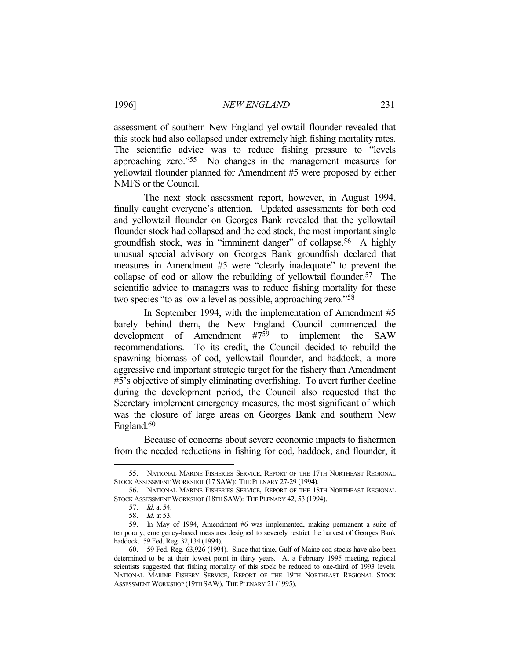assessment of southern New England yellowtail flounder revealed that this stock had also collapsed under extremely high fishing mortality rates. The scientific advice was to reduce fishing pressure to "levels approaching zero."55 No changes in the management measures for yellowtail flounder planned for Amendment #5 were proposed by either NMFS or the Council.

 The next stock assessment report, however, in August 1994, finally caught everyone's attention. Updated assessments for both cod and yellowtail flounder on Georges Bank revealed that the yellowtail flounder stock had collapsed and the cod stock, the most important single groundfish stock, was in "imminent danger" of collapse.56 A highly unusual special advisory on Georges Bank groundfish declared that measures in Amendment #5 were "clearly inadequate" to prevent the collapse of cod or allow the rebuilding of yellowtail flounder.<sup>57</sup> The scientific advice to managers was to reduce fishing mortality for these two species "to as low a level as possible, approaching zero."58

 In September 1994, with the implementation of Amendment #5 barely behind them, the New England Council commenced the development of Amendment #759 to implement the SAW recommendations. To its credit, the Council decided to rebuild the spawning biomass of cod, yellowtail flounder, and haddock, a more aggressive and important strategic target for the fishery than Amendment #5's objective of simply eliminating overfishing. To avert further decline during the development period, the Council also requested that the Secretary implement emergency measures, the most significant of which was the closure of large areas on Georges Bank and southern New England.60

 Because of concerns about severe economic impacts to fishermen from the needed reductions in fishing for cod, haddock, and flounder, it

 <sup>55.</sup> NATIONAL MARINE FISHERIES SERVICE, REPORT OF THE 17TH NORTHEAST REGIONAL STOCK ASSESSMENT WORKSHOP (17 SAW): THE PLENARY 27-29 (1994).

 <sup>56.</sup> NATIONAL MARINE FISHERIES SERVICE, REPORT OF THE 18TH NORTHEAST REGIONAL STOCK ASSESSMENT WORKSHOP (18TH SAW): THE PLENARY 42, 53 (1994).

 <sup>57.</sup> *Id*. at 54.

 <sup>58.</sup> *Id*. at 53.

 <sup>59.</sup> In May of 1994, Amendment #6 was implemented, making permanent a suite of temporary, emergency-based measures designed to severely restrict the harvest of Georges Bank haddock. 59 Fed. Reg. 32,134 (1994).

 <sup>60. 59</sup> Fed. Reg. 63,926 (1994). Since that time, Gulf of Maine cod stocks have also been determined to be at their lowest point in thirty years. At a February 1995 meeting, regional scientists suggested that fishing mortality of this stock be reduced to one-third of 1993 levels. NATIONAL MARINE FISHERY SERVICE, REPORT OF THE 19TH NORTHEAST REGIONAL STOCK ASSESSMENT WORKSHOP (19TH SAW): THE PLENARY 21 (1995).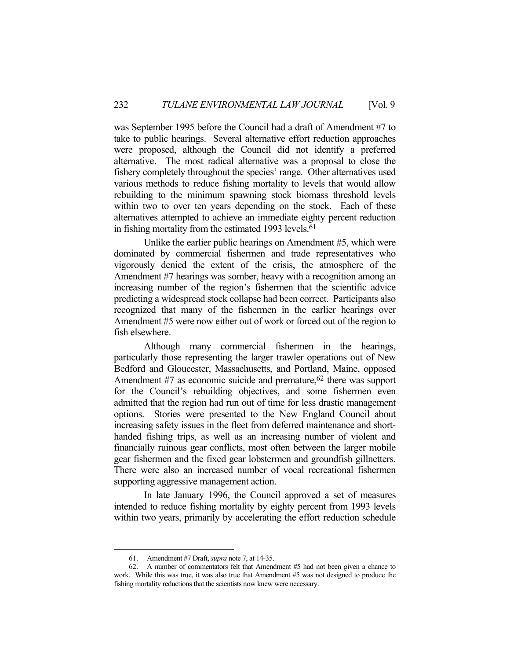was September 1995 before the Council had a draft of Amendment #7 to take to public hearings. Several alternative effort reduction approaches were proposed, although the Council did not identify a preferred alternative. The most radical alternative was a proposal to close the fishery completely throughout the species' range. Other alternatives used various methods to reduce fishing mortality to levels that would allow rebuilding to the minimum spawning stock biomass threshold levels within two to over ten years depending on the stock. Each of these alternatives attempted to achieve an immediate eighty percent reduction in fishing mortality from the estimated 1993 levels.<sup>61</sup>

 Unlike the earlier public hearings on Amendment #5, which were dominated by commercial fishermen and trade representatives who vigorously denied the extent of the crisis, the atmosphere of the Amendment #7 hearings was somber, heavy with a recognition among an increasing number of the region's fishermen that the scientific advice predicting a widespread stock collapse had been correct. Participants also recognized that many of the fishermen in the earlier hearings over Amendment #5 were now either out of work or forced out of the region to fish elsewhere.

 Although many commercial fishermen in the hearings, particularly those representing the larger trawler operations out of New Bedford and Gloucester, Massachusetts, and Portland, Maine, opposed Amendment  $#7$  as economic suicide and premature,<sup>62</sup> there was support for the Council's rebuilding objectives, and some fishermen even admitted that the region had run out of time for less drastic management options. Stories were presented to the New England Council about increasing safety issues in the fleet from deferred maintenance and shorthanded fishing trips, as well as an increasing number of violent and financially ruinous gear conflicts, most often between the larger mobile gear fishermen and the fixed gear lobstermen and groundfish gillnetters. There were also an increased number of vocal recreational fishermen supporting aggressive management action.

 In late January 1996, the Council approved a set of measures intended to reduce fishing mortality by eighty percent from 1993 levels within two years, primarily by accelerating the effort reduction schedule

 <sup>61.</sup> Amendment #7 Draft, *supra* note 7, at 14-35.

 <sup>62.</sup> A number of commentators felt that Amendment #5 had not been given a chance to work. While this was true, it was also true that Amendment #5 was not designed to produce the fishing mortality reductions that the scientists now knew were necessary.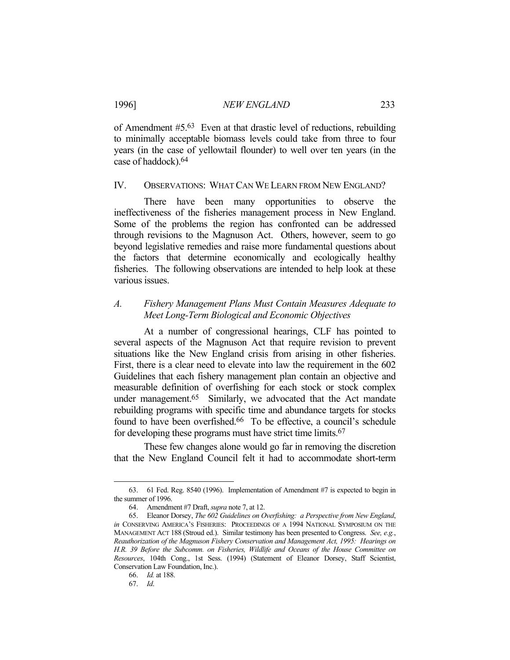of Amendment #5.63 Even at that drastic level of reductions, rebuilding to minimally acceptable biomass levels could take from three to four years (in the case of yellowtail flounder) to well over ten years (in the case of haddock).64

#### IV. OBSERVATIONS: WHAT CAN WE LEARN FROM NEW ENGLAND?

 There have been many opportunities to observe the ineffectiveness of the fisheries management process in New England. Some of the problems the region has confronted can be addressed through revisions to the Magnuson Act. Others, however, seem to go beyond legislative remedies and raise more fundamental questions about the factors that determine economically and ecologically healthy fisheries. The following observations are intended to help look at these various issues.

### *A. Fishery Management Plans Must Contain Measures Adequate to Meet Long-Term Biological and Economic Objectives*

 At a number of congressional hearings, CLF has pointed to several aspects of the Magnuson Act that require revision to prevent situations like the New England crisis from arising in other fisheries. First, there is a clear need to elevate into law the requirement in the 602 Guidelines that each fishery management plan contain an objective and measurable definition of overfishing for each stock or stock complex under management.<sup>65</sup> Similarly, we advocated that the Act mandate rebuilding programs with specific time and abundance targets for stocks found to have been overfished.66 To be effective, a council's schedule for developing these programs must have strict time limits.67

 These few changes alone would go far in removing the discretion that the New England Council felt it had to accommodate short-term

 <sup>63. 61</sup> Fed. Reg. 8540 (1996). Implementation of Amendment #7 is expected to begin in the summer of 1996.

 <sup>64.</sup> Amendment #7 Draft, *supra* note 7, at 12.

 <sup>65.</sup> Eleanor Dorsey, *The 602 Guidelines on Overfishing: a Perspective from New England*, *in* CONSERVING AMERICA'S FISHERIES: PROCEEDINGS OF A 1994 NATIONAL SYMPOSIUM ON THE MANAGEMENT ACT 188 (Stroud ed.). Similar testimony has been presented to Congress. *See, e.g.*, *Reauthorization of the Magnuson Fishery Conservation and Management Act, 1995: Hearings on H.R. 39 Before the Subcomm. on Fisheries, Wildlife and Oceans of the House Committee on Resources*, 104th Cong., 1st Sess. (1994) (Statement of Eleanor Dorsey, Staff Scientist, Conservation Law Foundation, Inc.).

 <sup>66.</sup> *Id.* at 188.

 <sup>67.</sup> *Id*.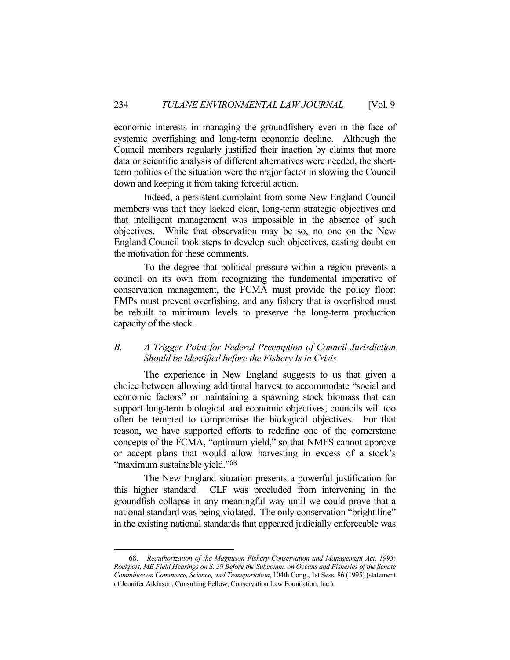economic interests in managing the groundfishery even in the face of systemic overfishing and long-term economic decline. Although the Council members regularly justified their inaction by claims that more data or scientific analysis of different alternatives were needed, the shortterm politics of the situation were the major factor in slowing the Council down and keeping it from taking forceful action.

 Indeed, a persistent complaint from some New England Council members was that they lacked clear, long-term strategic objectives and that intelligent management was impossible in the absence of such objectives. While that observation may be so, no one on the New England Council took steps to develop such objectives, casting doubt on the motivation for these comments.

 To the degree that political pressure within a region prevents a council on its own from recognizing the fundamental imperative of conservation management, the FCMA must provide the policy floor: FMPs must prevent overfishing, and any fishery that is overfished must be rebuilt to minimum levels to preserve the long-term production capacity of the stock.

### *B. A Trigger Point for Federal Preemption of Council Jurisdiction Should be Identified before the Fishery Is in Crisis*

 The experience in New England suggests to us that given a choice between allowing additional harvest to accommodate "social and economic factors" or maintaining a spawning stock biomass that can support long-term biological and economic objectives, councils will too often be tempted to compromise the biological objectives. For that reason, we have supported efforts to redefine one of the cornerstone concepts of the FCMA, "optimum yield," so that NMFS cannot approve or accept plans that would allow harvesting in excess of a stock's "maximum sustainable yield."68

 The New England situation presents a powerful justification for this higher standard. CLF was precluded from intervening in the groundfish collapse in any meaningful way until we could prove that a national standard was being violated. The only conservation "bright line" in the existing national standards that appeared judicially enforceable was

 <sup>68.</sup> *Reauthorization of the Magnuson Fishery Conservation and Management Act, 1995: Rockport, ME Field Hearings on S. 39 Before the Subcomm. on Oceans and Fisheries of the Senate Committee on Commerce, Science, and Transportation*, 104th Cong., 1st Sess. 86 (1995) (statement of Jennifer Atkinson, Consulting Fellow, Conservation Law Foundation, Inc.).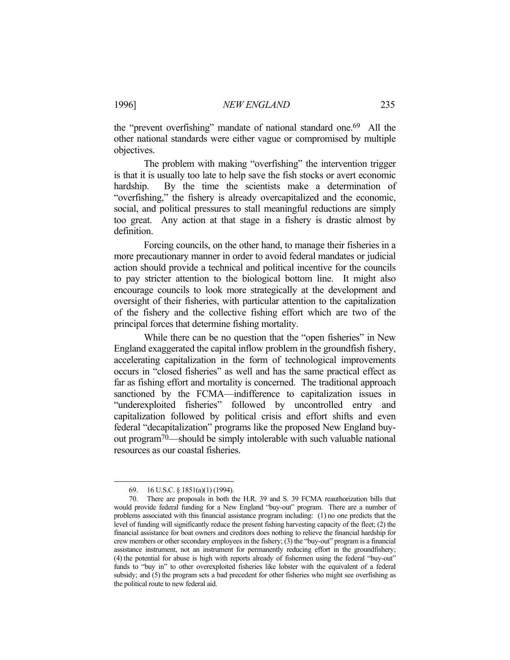the "prevent overfishing" mandate of national standard one.69 All the other national standards were either vague or compromised by multiple objectives.

The problem with making "overfishing" the intervention trigger is that it is usually too late to help save the fish stocks or avert economic hardship. By the time the scientists make a determination of "overfishing," the fishery is already overcapitalized and the economic, social, and political pressures to stall meaningful reductions are simply too great. Any action at that stage in a fishery is drastic almost by definition.

 Forcing councils, on the other hand, to manage their fisheries in a more precautionary manner in order to avoid federal mandates or judicial action should provide a technical and political incentive for the councils to pay stricter attention to the biological bottom line. It might also encourage councils to look more strategically at the development and oversight of their fisheries, with particular attention to the capitalization of the fishery and the collective fishing effort which are two of the principal forces that determine fishing mortality.

While there can be no question that the "open fisheries" in New England exaggerated the capital inflow problem in the groundfish fishery, accelerating capitalization in the form of technological improvements occurs in "closed fisheries" as well and has the same practical effect as far as fishing effort and mortality is concerned. The traditional approach sanctioned by the FCMA—indifference to capitalization issues in "underexploited fisheries" followed by uncontrolled entry and capitalization followed by political crisis and effort shifts and even federal "decapitalization" programs like the proposed New England buyout program70—should be simply intolerable with such valuable national resources as our coastal fisheries.

 <sup>69. 16</sup> U.S.C. § 1851(a)(1) (1994).

 <sup>70.</sup> There are proposals in both the H.R. 39 and S. 39 FCMA reauthorization bills that would provide federal funding for a New England "buy-out" program. There are a number of problems associated with this financial assistance program including: (1) no one predicts that the level of funding will significantly reduce the present fishing harvesting capacity of the fleet; (2) the financial assistance for boat owners and creditors does nothing to relieve the financial hardship for crew members or other secondary employees in the fishery; (3) the "buy-out" program is a financial assistance instrument, not an instrument for permanently reducing effort in the groundfishery; (4) the potential for abuse is high with reports already of fishermen using the federal "buy-out" funds to "buy in" to other overexploited fisheries like lobster with the equivalent of a federal subsidy; and (5) the program sets a bad precedent for other fisheries who might see overfishing as the political route to new federal aid.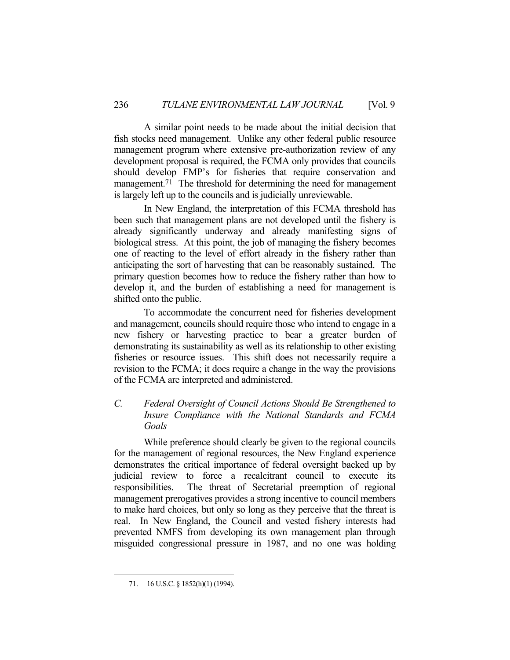A similar point needs to be made about the initial decision that fish stocks need management. Unlike any other federal public resource management program where extensive pre-authorization review of any development proposal is required, the FCMA only provides that councils should develop FMP's for fisheries that require conservation and management.<sup>71</sup> The threshold for determining the need for management is largely left up to the councils and is judicially unreviewable.

 In New England, the interpretation of this FCMA threshold has been such that management plans are not developed until the fishery is already significantly underway and already manifesting signs of biological stress. At this point, the job of managing the fishery becomes one of reacting to the level of effort already in the fishery rather than anticipating the sort of harvesting that can be reasonably sustained. The primary question becomes how to reduce the fishery rather than how to develop it, and the burden of establishing a need for management is shifted onto the public.

 To accommodate the concurrent need for fisheries development and management, councils should require those who intend to engage in a new fishery or harvesting practice to bear a greater burden of demonstrating its sustainability as well as its relationship to other existing fisheries or resource issues. This shift does not necessarily require a revision to the FCMA; it does require a change in the way the provisions of the FCMA are interpreted and administered.

## *C. Federal Oversight of Council Actions Should Be Strengthened to Insure Compliance with the National Standards and FCMA Goals*

 While preference should clearly be given to the regional councils for the management of regional resources, the New England experience demonstrates the critical importance of federal oversight backed up by judicial review to force a recalcitrant council to execute its responsibilities. The threat of Secretarial preemption of regional management prerogatives provides a strong incentive to council members to make hard choices, but only so long as they perceive that the threat is real. In New England, the Council and vested fishery interests had prevented NMFS from developing its own management plan through misguided congressional pressure in 1987, and no one was holding

<sup>71. 16</sup> U.S.C. § 1852(h)(1) (1994).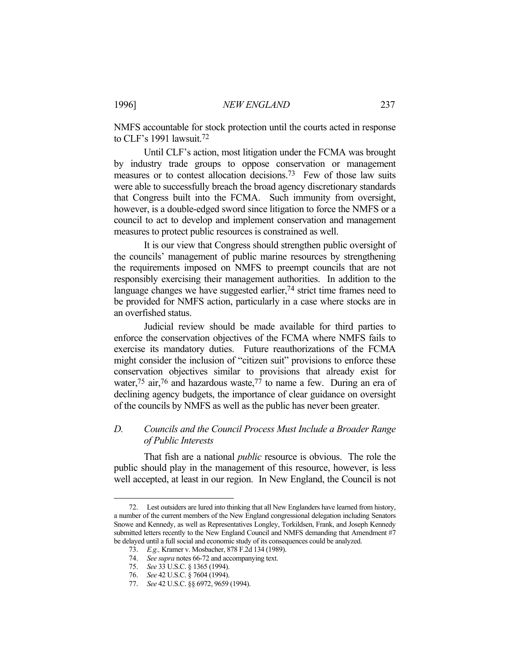NMFS accountable for stock protection until the courts acted in response to CLF's 1991 lawsuit.72

 Until CLF's action, most litigation under the FCMA was brought by industry trade groups to oppose conservation or management measures or to contest allocation decisions.<sup>73</sup> Few of those law suits were able to successfully breach the broad agency discretionary standards that Congress built into the FCMA. Such immunity from oversight, however, is a double-edged sword since litigation to force the NMFS or a council to act to develop and implement conservation and management measures to protect public resources is constrained as well.

 It is our view that Congress should strengthen public oversight of the councils' management of public marine resources by strengthening the requirements imposed on NMFS to preempt councils that are not responsibly exercising their management authorities. In addition to the language changes we have suggested earlier, $74$  strict time frames need to be provided for NMFS action, particularly in a case where stocks are in an overfished status.

 Judicial review should be made available for third parties to enforce the conservation objectives of the FCMA where NMFS fails to exercise its mandatory duties. Future reauthorizations of the FCMA might consider the inclusion of "citizen suit" provisions to enforce these conservation objectives similar to provisions that already exist for water,<sup>75</sup> air,<sup>76</sup> and hazardous waste,<sup>77</sup> to name a few. During an era of declining agency budgets, the importance of clear guidance on oversight of the councils by NMFS as well as the public has never been greater.

### *D. Councils and the Council Process Must Include a Broader Range of Public Interests*

 That fish are a national *public* resource is obvious. The role the public should play in the management of this resource, however, is less well accepted, at least in our region. In New England, the Council is not

 <sup>72.</sup> Lest outsiders are lured into thinking that all New Englanders have learned from history, a number of the current members of the New England congressional delegation including Senators Snowe and Kennedy, as well as Representatives Longley, Torkildsen, Frank, and Joseph Kennedy submitted letters recently to the New England Council and NMFS demanding that Amendment #7 be delayed until a full social and economic study of its consequences could be analyzed.

 <sup>73.</sup> *E.g.,* Kramer v. Mosbacher, 878 F.2d 134 (1989).

 <sup>74.</sup> *See supra* notes 66-72 and accompanying text.

 <sup>75.</sup> *See* 33 U.S.C. § 1365 (1994).

 <sup>76.</sup> *See* 42 U.S.C. § 7604 (1994).

 <sup>77.</sup> *See* 42 U.S.C. §§ 6972, 9659 (1994).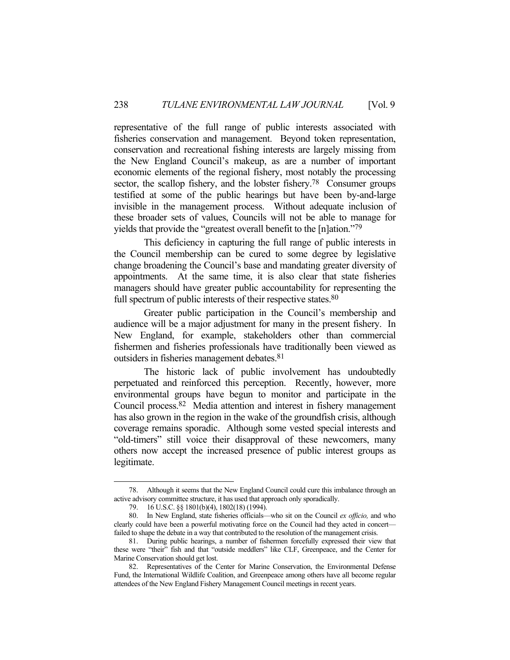representative of the full range of public interests associated with fisheries conservation and management. Beyond token representation, conservation and recreational fishing interests are largely missing from the New England Council's makeup, as are a number of important economic elements of the regional fishery, most notably the processing sector, the scallop fishery, and the lobster fishery.<sup>78</sup> Consumer groups testified at some of the public hearings but have been by-and-large invisible in the management process. Without adequate inclusion of these broader sets of values, Councils will not be able to manage for yields that provide the "greatest overall benefit to the [n]ation."79

 This deficiency in capturing the full range of public interests in the Council membership can be cured to some degree by legislative change broadening the Council's base and mandating greater diversity of appointments. At the same time, it is also clear that state fisheries managers should have greater public accountability for representing the full spectrum of public interests of their respective states.<sup>80</sup>

 Greater public participation in the Council's membership and audience will be a major adjustment for many in the present fishery. In New England, for example, stakeholders other than commercial fishermen and fisheries professionals have traditionally been viewed as outsiders in fisheries management debates.81

 The historic lack of public involvement has undoubtedly perpetuated and reinforced this perception. Recently, however, more environmental groups have begun to monitor and participate in the Council process.82 Media attention and interest in fishery management has also grown in the region in the wake of the groundfish crisis, although coverage remains sporadic. Although some vested special interests and "old-timers" still voice their disapproval of these newcomers, many others now accept the increased presence of public interest groups as legitimate.

 <sup>78.</sup> Although it seems that the New England Council could cure this imbalance through an active advisory committee structure, it has used that approach only sporadically.

 <sup>79. 16</sup> U.S.C. §§ 1801(b)(4), 1802(18) (1994).

 <sup>80.</sup> In New England, state fisheries officials—who sit on the Council *ex officio,* and who clearly could have been a powerful motivating force on the Council had they acted in concert failed to shape the debate in a way that contributed to the resolution of the management crisis.

 <sup>81.</sup> During public hearings, a number of fishermen forcefully expressed their view that these were "their" fish and that "outside meddlers" like CLF, Greenpeace, and the Center for Marine Conservation should get lost.

 <sup>82.</sup> Representatives of the Center for Marine Conservation, the Environmental Defense Fund, the International Wildlife Coalition, and Greenpeace among others have all become regular attendees of the New England Fishery Management Council meetings in recent years.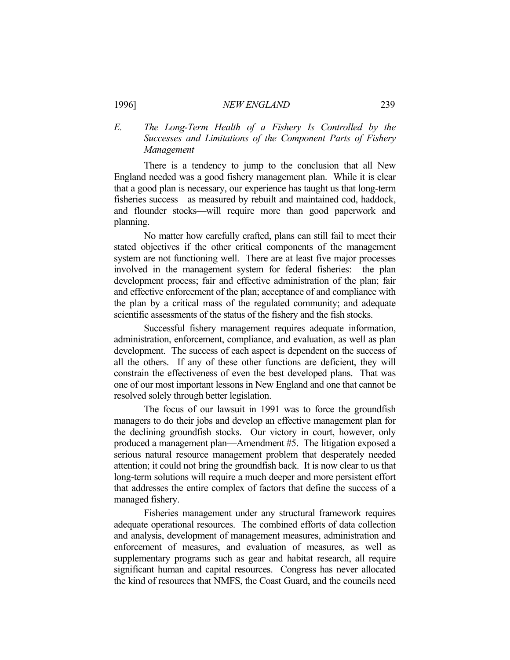### *E. The Long-Term Health of a Fishery Is Controlled by the Successes and Limitations of the Component Parts of Fishery Management*

 There is a tendency to jump to the conclusion that all New England needed was a good fishery management plan. While it is clear that a good plan is necessary, our experience has taught us that long-term fisheries success—as measured by rebuilt and maintained cod, haddock, and flounder stocks—will require more than good paperwork and planning.

 No matter how carefully crafted, plans can still fail to meet their stated objectives if the other critical components of the management system are not functioning well. There are at least five major processes involved in the management system for federal fisheries: the plan development process; fair and effective administration of the plan; fair and effective enforcement of the plan; acceptance of and compliance with the plan by a critical mass of the regulated community; and adequate scientific assessments of the status of the fishery and the fish stocks.

 Successful fishery management requires adequate information, administration, enforcement, compliance, and evaluation, as well as plan development. The success of each aspect is dependent on the success of all the others. If any of these other functions are deficient, they will constrain the effectiveness of even the best developed plans. That was one of our most important lessons in New England and one that cannot be resolved solely through better legislation.

 The focus of our lawsuit in 1991 was to force the groundfish managers to do their jobs and develop an effective management plan for the declining groundfish stocks. Our victory in court, however, only produced a management plan—Amendment #5. The litigation exposed a serious natural resource management problem that desperately needed attention; it could not bring the groundfish back. It is now clear to us that long-term solutions will require a much deeper and more persistent effort that addresses the entire complex of factors that define the success of a managed fishery.

 Fisheries management under any structural framework requires adequate operational resources. The combined efforts of data collection and analysis, development of management measures, administration and enforcement of measures, and evaluation of measures, as well as supplementary programs such as gear and habitat research, all require significant human and capital resources. Congress has never allocated the kind of resources that NMFS, the Coast Guard, and the councils need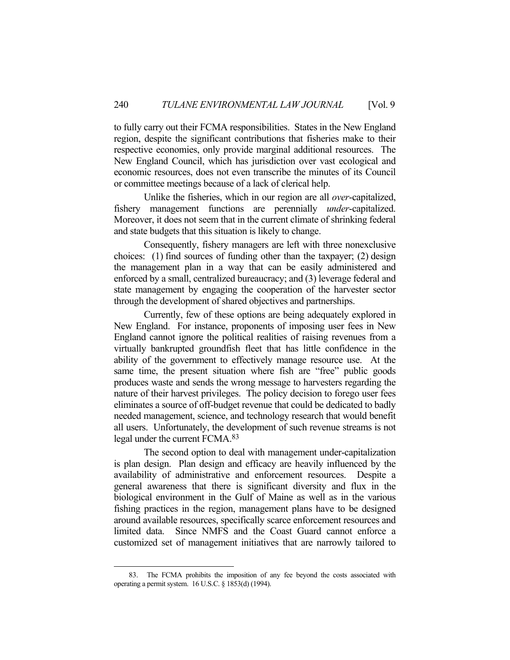to fully carry out their FCMA responsibilities. States in the New England region, despite the significant contributions that fisheries make to their respective economies, only provide marginal additional resources. The New England Council, which has jurisdiction over vast ecological and economic resources, does not even transcribe the minutes of its Council or committee meetings because of a lack of clerical help.

 Unlike the fisheries, which in our region are all *over*-capitalized, fishery management functions are perennially *under*-capitalized. Moreover, it does not seem that in the current climate of shrinking federal and state budgets that this situation is likely to change.

 Consequently, fishery managers are left with three nonexclusive choices: (1) find sources of funding other than the taxpayer; (2) design the management plan in a way that can be easily administered and enforced by a small, centralized bureaucracy; and (3) leverage federal and state management by engaging the cooperation of the harvester sector through the development of shared objectives and partnerships.

 Currently, few of these options are being adequately explored in New England. For instance, proponents of imposing user fees in New England cannot ignore the political realities of raising revenues from a virtually bankrupted groundfish fleet that has little confidence in the ability of the government to effectively manage resource use. At the same time, the present situation where fish are "free" public goods produces waste and sends the wrong message to harvesters regarding the nature of their harvest privileges. The policy decision to forego user fees eliminates a source of off-budget revenue that could be dedicated to badly needed management, science, and technology research that would benefit all users. Unfortunately, the development of such revenue streams is not legal under the current FCMA.83

 The second option to deal with management under-capitalization is plan design. Plan design and efficacy are heavily influenced by the availability of administrative and enforcement resources. Despite a general awareness that there is significant diversity and flux in the biological environment in the Gulf of Maine as well as in the various fishing practices in the region, management plans have to be designed around available resources, specifically scarce enforcement resources and limited data. Since NMFS and the Coast Guard cannot enforce a customized set of management initiatives that are narrowly tailored to

 <sup>83.</sup> The FCMA prohibits the imposition of any fee beyond the costs associated with operating a permit system. 16 U.S.C. § 1853(d) (1994).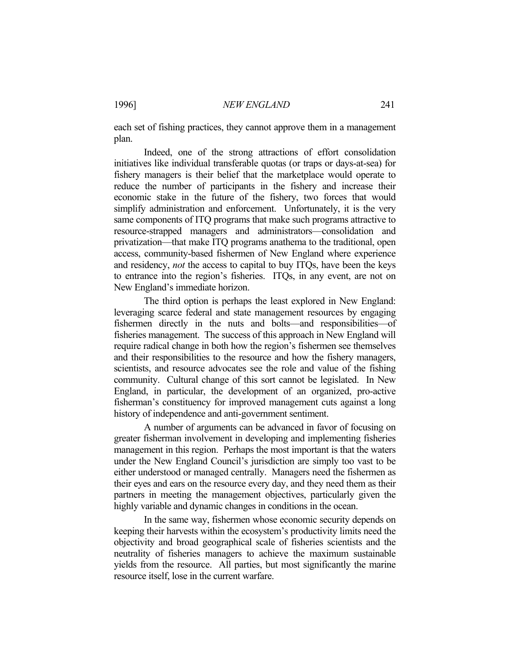each set of fishing practices, they cannot approve them in a management plan.

 Indeed, one of the strong attractions of effort consolidation initiatives like individual transferable quotas (or traps or days-at-sea) for fishery managers is their belief that the marketplace would operate to reduce the number of participants in the fishery and increase their economic stake in the future of the fishery, two forces that would simplify administration and enforcement. Unfortunately, it is the very same components of ITQ programs that make such programs attractive to resource-strapped managers and administrators—consolidation and privatization—that make ITQ programs anathema to the traditional, open access, community-based fishermen of New England where experience and residency, *not* the access to capital to buy ITQs, have been the keys to entrance into the region's fisheries. ITQs, in any event, are not on New England's immediate horizon.

 The third option is perhaps the least explored in New England: leveraging scarce federal and state management resources by engaging fishermen directly in the nuts and bolts—and responsibilities—of fisheries management. The success of this approach in New England will require radical change in both how the region's fishermen see themselves and their responsibilities to the resource and how the fishery managers, scientists, and resource advocates see the role and value of the fishing community. Cultural change of this sort cannot be legislated. In New England, in particular, the development of an organized, pro-active fisherman's constituency for improved management cuts against a long history of independence and anti-government sentiment.

 A number of arguments can be advanced in favor of focusing on greater fisherman involvement in developing and implementing fisheries management in this region. Perhaps the most important is that the waters under the New England Council's jurisdiction are simply too vast to be either understood or managed centrally. Managers need the fishermen as their eyes and ears on the resource every day, and they need them as their partners in meeting the management objectives, particularly given the highly variable and dynamic changes in conditions in the ocean.

 In the same way, fishermen whose economic security depends on keeping their harvests within the ecosystem's productivity limits need the objectivity and broad geographical scale of fisheries scientists and the neutrality of fisheries managers to achieve the maximum sustainable yields from the resource. All parties, but most significantly the marine resource itself, lose in the current warfare.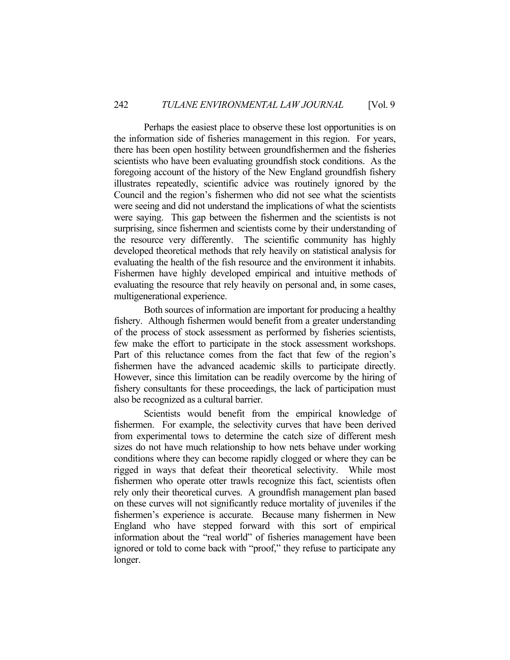Perhaps the easiest place to observe these lost opportunities is on the information side of fisheries management in this region. For years, there has been open hostility between groundfishermen and the fisheries scientists who have been evaluating groundfish stock conditions. As the foregoing account of the history of the New England groundfish fishery illustrates repeatedly, scientific advice was routinely ignored by the Council and the region's fishermen who did not see what the scientists were seeing and did not understand the implications of what the scientists were saying. This gap between the fishermen and the scientists is not surprising, since fishermen and scientists come by their understanding of the resource very differently. The scientific community has highly developed theoretical methods that rely heavily on statistical analysis for evaluating the health of the fish resource and the environment it inhabits. Fishermen have highly developed empirical and intuitive methods of evaluating the resource that rely heavily on personal and, in some cases, multigenerational experience.

 Both sources of information are important for producing a healthy fishery. Although fishermen would benefit from a greater understanding of the process of stock assessment as performed by fisheries scientists, few make the effort to participate in the stock assessment workshops. Part of this reluctance comes from the fact that few of the region's fishermen have the advanced academic skills to participate directly. However, since this limitation can be readily overcome by the hiring of fishery consultants for these proceedings, the lack of participation must also be recognized as a cultural barrier.

 Scientists would benefit from the empirical knowledge of fishermen. For example, the selectivity curves that have been derived from experimental tows to determine the catch size of different mesh sizes do not have much relationship to how nets behave under working conditions where they can become rapidly clogged or where they can be rigged in ways that defeat their theoretical selectivity. While most fishermen who operate otter trawls recognize this fact, scientists often rely only their theoretical curves. A groundfish management plan based on these curves will not significantly reduce mortality of juveniles if the fishermen's experience is accurate. Because many fishermen in New England who have stepped forward with this sort of empirical information about the "real world" of fisheries management have been ignored or told to come back with "proof," they refuse to participate any longer.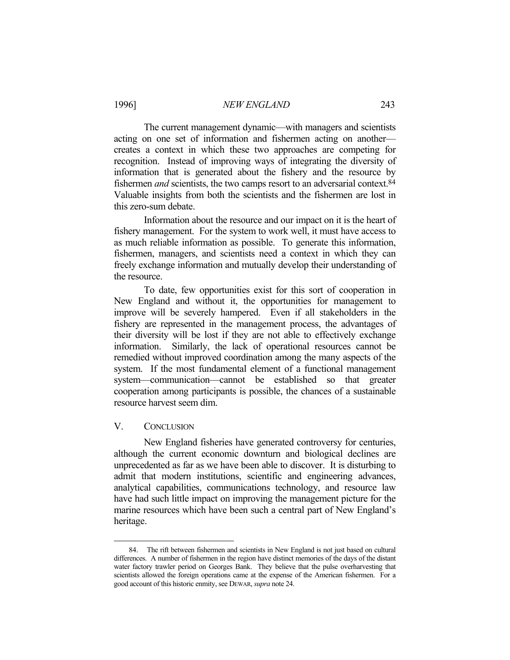The current management dynamic—with managers and scientists acting on one set of information and fishermen acting on another creates a context in which these two approaches are competing for recognition. Instead of improving ways of integrating the diversity of information that is generated about the fishery and the resource by fishermen *and* scientists, the two camps resort to an adversarial context.<sup>84</sup> Valuable insights from both the scientists and the fishermen are lost in this zero-sum debate.

 Information about the resource and our impact on it is the heart of fishery management. For the system to work well, it must have access to as much reliable information as possible. To generate this information, fishermen, managers, and scientists need a context in which they can freely exchange information and mutually develop their understanding of the resource.

 To date, few opportunities exist for this sort of cooperation in New England and without it, the opportunities for management to improve will be severely hampered. Even if all stakeholders in the fishery are represented in the management process, the advantages of their diversity will be lost if they are not able to effectively exchange information. Similarly, the lack of operational resources cannot be remedied without improved coordination among the many aspects of the system. If the most fundamental element of a functional management system—communication—cannot be established so that greater cooperation among participants is possible, the chances of a sustainable resource harvest seem dim.

#### V. CONCLUSION

1

 New England fisheries have generated controversy for centuries, although the current economic downturn and biological declines are unprecedented as far as we have been able to discover. It is disturbing to admit that modern institutions, scientific and engineering advances, analytical capabilities, communications technology, and resource law have had such little impact on improving the management picture for the marine resources which have been such a central part of New England's heritage.

 <sup>84.</sup> The rift between fishermen and scientists in New England is not just based on cultural differences. A number of fishermen in the region have distinct memories of the days of the distant water factory trawler period on Georges Bank. They believe that the pulse overharvesting that scientists allowed the foreign operations came at the expense of the American fishermen. For a good account of this historic enmity, see DEWAR, *supra* note 24.